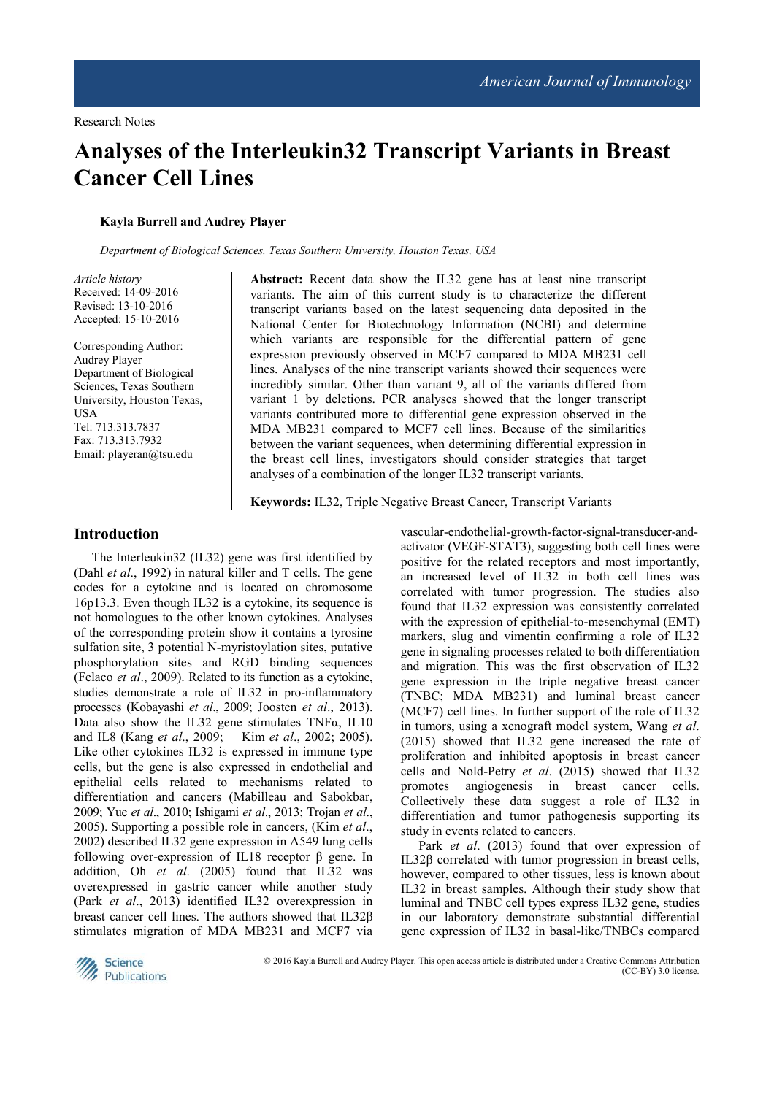# **Analyses of the Interleukin32 Transcript Variants in Breast Cancer Cell Lines**

#### **Kayla Burrell and Audrey Player**

*Department of Biological Sciences, Texas Southern University, Houston Texas, USA* 

*Article history*  Received: 14-09-2016 Revised: 13-10-2016 Accepted: 15-10-2016

Corresponding Author: Audrey Player Department of Biological Sciences, Texas Southern University, Houston Texas, **USA** Tel: 713.313.7837 Fax: 713.313.7932 Email: playeran@tsu.edu

**Abstract:** Recent data show the IL32 gene has at least nine transcript variants. The aim of this current study is to characterize the different transcript variants based on the latest sequencing data deposited in the National Center for Biotechnology Information (NCBI) and determine which variants are responsible for the differential pattern of gene expression previously observed in MCF7 compared to MDA MB231 cell lines. Analyses of the nine transcript variants showed their sequences were incredibly similar. Other than variant 9, all of the variants differed from variant 1 by deletions. PCR analyses showed that the longer transcript variants contributed more to differential gene expression observed in the MDA MB231 compared to MCF7 cell lines. Because of the similarities between the variant sequences, when determining differential expression in the breast cell lines, investigators should consider strategies that target analyses of a combination of the longer IL32 transcript variants.

**Keywords:** IL32, Triple Negative Breast Cancer, Transcript Variants

#### **Introduction**

The Interleukin32 (IL32) gene was first identified by (Dahl *et al*., 1992) in natural killer and T cells. The gene codes for a cytokine and is located on chromosome 16p13.3. Even though IL32 is a cytokine, its sequence is not homologues to the other known cytokines. Analyses of the corresponding protein show it contains a tyrosine sulfation site, 3 potential N-myristoylation sites, putative phosphorylation sites and RGD binding sequences (Felaco *et al*., 2009). Related to its function as a cytokine, studies demonstrate a role of IL32 in pro-inflammatory processes (Kobayashi *et al*., 2009; Joosten *et al*., 2013). Data also show the IL32 gene stimulates  $TNF\alpha$ , IL10 and IL8 (Kang *et al*., 2009; Kim *et al*., 2002; 2005). Like other cytokines IL32 is expressed in immune type cells, but the gene is also expressed in endothelial and epithelial cells related to mechanisms related to differentiation and cancers (Mabilleau and Sabokbar, 2009; Yue *et al*., 2010; Ishigami *et al*., 2013; Trojan *et al*., 2005). Supporting a possible role in cancers, (Kim *et al*., 2002) described IL32 gene expression in A549 lung cells following over-expression of IL18 receptor β gene. In addition, Oh *et al*. (2005) found that IL32 was overexpressed in gastric cancer while another study (Park *et al*., 2013) identified IL32 overexpression in breast cancer cell lines. The authors showed that IL32β stimulates migration of MDA MB231 and MCF7 via

vascular-endothelial-growth-factor-signal-transducer-andactivator (VEGF-STAT3), suggesting both cell lines were positive for the related receptors and most importantly, an increased level of IL32 in both cell lines was correlated with tumor progression. The studies also found that IL32 expression was consistently correlated with the expression of epithelial-to-mesenchymal (EMT) markers, slug and vimentin confirming a role of IL32 gene in signaling processes related to both differentiation and migration. This was the first observation of IL32 gene expression in the triple negative breast cancer (TNBC; MDA MB231) and luminal breast cancer (MCF7) cell lines. In further support of the role of IL32 in tumors, using a xenograft model system, Wang *et al*. (2015) showed that IL32 gene increased the rate of proliferation and inhibited apoptosis in breast cancer cells and Nold-Petry *et al*. (2015) showed that IL32 promotes angiogenesis in breast cancer cells. Collectively these data suggest a role of IL32 in differentiation and tumor pathogenesis supporting its study in events related to cancers.

Park *et al.* (2013) found that over expression of IL32β correlated with tumor progression in breast cells, however, compared to other tissues, less is known about IL32 in breast samples. Although their study show that luminal and TNBC cell types express IL32 gene, studies in our laboratory demonstrate substantial differential gene expression of IL32 in basal-like/TNBCs compared



 © 2016 Kayla Burrell and Audrey Player. This open access article is distributed under a Creative Commons Attribution (CC-BY) 3.0 license.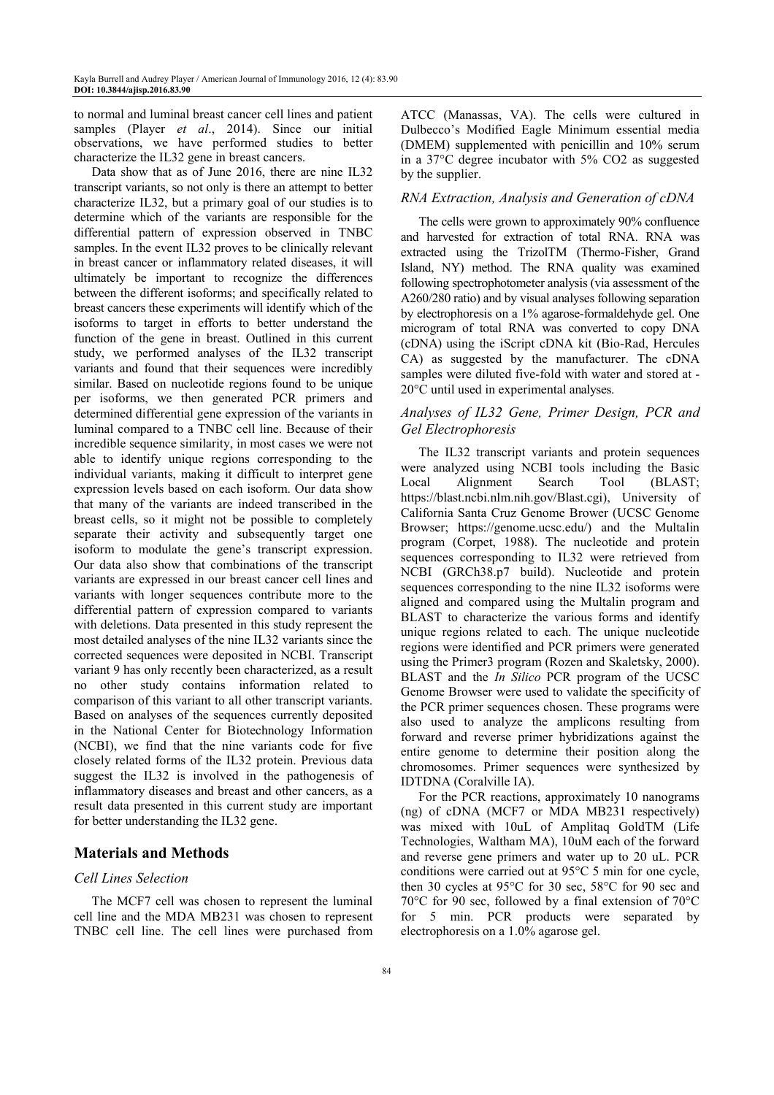to normal and luminal breast cancer cell lines and patient samples (Player *et al.*, 2014). Since our initial observations, we have performed studies to better characterize the IL32 gene in breast cancers.

Data show that as of June 2016, there are nine IL32 transcript variants, so not only is there an attempt to better characterize IL32, but a primary goal of our studies is to determine which of the variants are responsible for the differential pattern of expression observed in TNBC samples. In the event IL32 proves to be clinically relevant in breast cancer or inflammatory related diseases, it will ultimately be important to recognize the differences between the different isoforms; and specifically related to breast cancers these experiments will identify which of the isoforms to target in efforts to better understand the function of the gene in breast. Outlined in this current study, we performed analyses of the IL32 transcript variants and found that their sequences were incredibly similar. Based on nucleotide regions found to be unique per isoforms, we then generated PCR primers and determined differential gene expression of the variants in luminal compared to a TNBC cell line. Because of their incredible sequence similarity, in most cases we were not able to identify unique regions corresponding to the individual variants, making it difficult to interpret gene expression levels based on each isoform. Our data show that many of the variants are indeed transcribed in the breast cells, so it might not be possible to completely separate their activity and subsequently target one isoform to modulate the gene's transcript expression. Our data also show that combinations of the transcript variants are expressed in our breast cancer cell lines and variants with longer sequences contribute more to the differential pattern of expression compared to variants with deletions. Data presented in this study represent the most detailed analyses of the nine IL32 variants since the corrected sequences were deposited in NCBI. Transcript variant 9 has only recently been characterized, as a result no other study contains information related to comparison of this variant to all other transcript variants. Based on analyses of the sequences currently deposited in the National Center for Biotechnology Information (NCBI), we find that the nine variants code for five closely related forms of the IL32 protein. Previous data suggest the IL32 is involved in the pathogenesis of inflammatory diseases and breast and other cancers, as a result data presented in this current study are important for better understanding the IL32 gene.

# **Materials and Methods**

#### *Cell Lines Selection*

The MCF7 cell was chosen to represent the luminal cell line and the MDA MB231 was chosen to represent TNBC cell line. The cell lines were purchased from

ATCC (Manassas, VA). The cells were cultured in Dulbecco's Modified Eagle Minimum essential media (DMEM) supplemented with penicillin and 10% serum in a 37°C degree incubator with 5% CO2 as suggested by the supplier.

#### *RNA Extraction, Analysis and Generation of cDNA*

The cells were grown to approximately 90% confluence and harvested for extraction of total RNA. RNA was extracted using the TrizolTM (Thermo-Fisher, Grand Island, NY) method. The RNA quality was examined following spectrophotometer analysis (via assessment of the A260/280 ratio) and by visual analyses following separation by electrophoresis on a 1% agarose-formaldehyde gel. One microgram of total RNA was converted to copy DNA (cDNA) using the iScript cDNA kit (Bio-Rad, Hercules CA) as suggested by the manufacturer. The cDNA samples were diluted five-fold with water and stored at - 20°C until used in experimental analyses.

## *Analyses of IL32 Gene, Primer Design, PCR and Gel Electrophoresis*

The IL32 transcript variants and protein sequences were analyzed using NCBI tools including the Basic Local Alignment Search Tool (BLAST; https://blast.ncbi.nlm.nih.gov/Blast.cgi), University of California Santa Cruz Genome Brower (UCSC Genome Browser; https://genome.ucsc.edu/) and the Multalin program (Corpet, 1988). The nucleotide and protein sequences corresponding to IL32 were retrieved from NCBI (GRCh38.p7 build). Nucleotide and protein sequences corresponding to the nine IL32 isoforms were aligned and compared using the Multalin program and BLAST to characterize the various forms and identify unique regions related to each. The unique nucleotide regions were identified and PCR primers were generated using the Primer3 program (Rozen and Skaletsky, 2000). BLAST and the *In Silico* PCR program of the UCSC Genome Browser were used to validate the specificity of the PCR primer sequences chosen. These programs were also used to analyze the amplicons resulting from forward and reverse primer hybridizations against the entire genome to determine their position along the chromosomes. Primer sequences were synthesized by IDTDNA (Coralville IA).

For the PCR reactions, approximately 10 nanograms (ng) of cDNA (MCF7 or MDA MB231 respectively) was mixed with 10uL of Amplitaq GoldTM (Life Technologies, Waltham MA), 10uM each of the forward and reverse gene primers and water up to 20 uL. PCR conditions were carried out at 95°C 5 min for one cycle, then 30 cycles at 95°C for 30 sec, 58°C for 90 sec and 70°C for 90 sec, followed by a final extension of 70°C for 5 min. PCR products were separated by electrophoresis on a 1.0% agarose gel.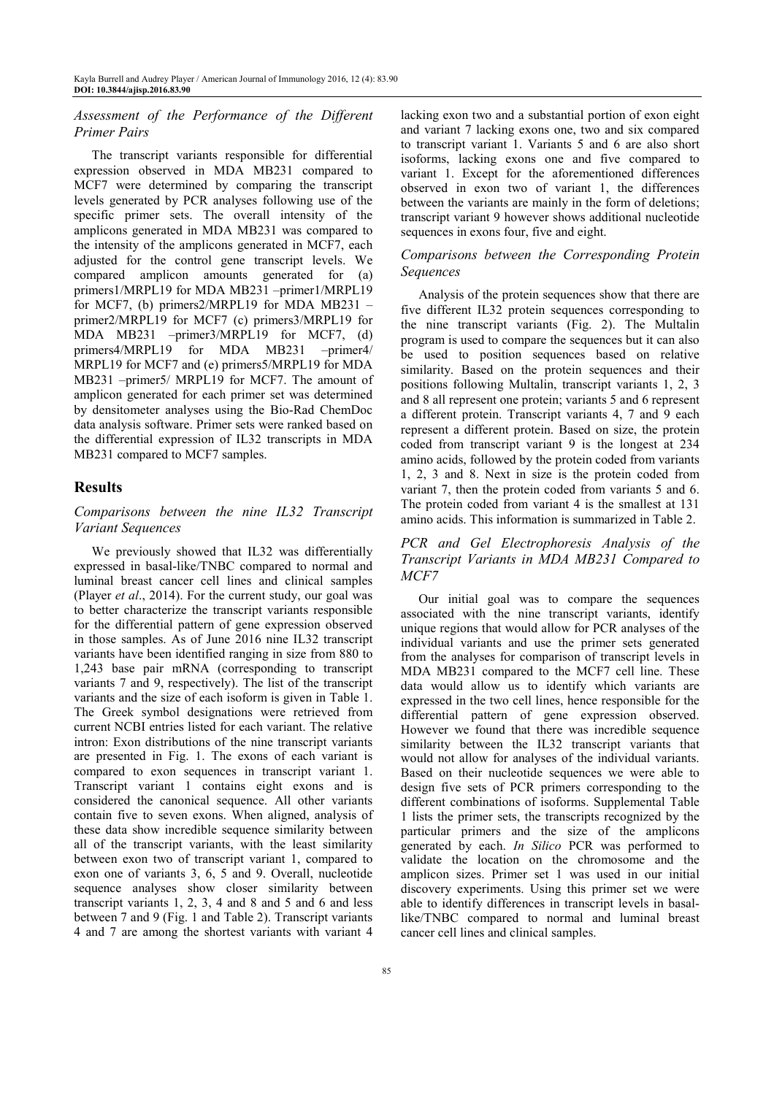## *Assessment of the Performance of the Different Primer Pairs*

The transcript variants responsible for differential expression observed in MDA MB231 compared to MCF7 were determined by comparing the transcript levels generated by PCR analyses following use of the specific primer sets. The overall intensity of the amplicons generated in MDA MB231 was compared to the intensity of the amplicons generated in MCF7, each adjusted for the control gene transcript levels. We compared amplicon amounts generated for (a) primers1/MRPL19 for MDA MB231 –primer1/MRPL19 for MCF7, (b) primers2/MRPL19 for MDA MB231 – primer2/MRPL19 for MCF7 (c) primers3/MRPL19 for MDA MB231 –primer3/MRPL19 for MCF7, (d) primers4/MRPL19 for MDA MB231 –primer4/ MRPL19 for MCF7 and (e) primers5/MRPL19 for MDA MB231 –primer5/ MRPL19 for MCF7. The amount of amplicon generated for each primer set was determined by densitometer analyses using the Bio-Rad ChemDoc data analysis software. Primer sets were ranked based on the differential expression of IL32 transcripts in MDA MB231 compared to MCF7 samples.

# **Results**

# *Comparisons between the nine IL32 Transcript Variant Sequences*

We previously showed that IL32 was differentially expressed in basal-like/TNBC compared to normal and luminal breast cancer cell lines and clinical samples (Player *et al*., 2014). For the current study, our goal was to better characterize the transcript variants responsible for the differential pattern of gene expression observed in those samples. As of June 2016 nine IL32 transcript variants have been identified ranging in size from 880 to 1,243 base pair mRNA (corresponding to transcript variants 7 and 9, respectively). The list of the transcript variants and the size of each isoform is given in Table 1. The Greek symbol designations were retrieved from current NCBI entries listed for each variant. The relative intron: Exon distributions of the nine transcript variants are presented in Fig. 1. The exons of each variant is compared to exon sequences in transcript variant 1. Transcript variant 1 contains eight exons and is considered the canonical sequence. All other variants contain five to seven exons. When aligned, analysis of these data show incredible sequence similarity between all of the transcript variants, with the least similarity between exon two of transcript variant 1, compared to exon one of variants 3, 6, 5 and 9. Overall, nucleotide sequence analyses show closer similarity between transcript variants 1, 2, 3, 4 and 8 and 5 and 6 and less between 7 and 9 (Fig. 1 and Table 2). Transcript variants 4 and 7 are among the shortest variants with variant 4

lacking exon two and a substantial portion of exon eight and variant 7 lacking exons one, two and six compared to transcript variant 1. Variants 5 and 6 are also short isoforms, lacking exons one and five compared to variant 1. Except for the aforementioned differences observed in exon two of variant 1, the differences between the variants are mainly in the form of deletions; transcript variant 9 however shows additional nucleotide sequences in exons four, five and eight.

#### *Comparisons between the Corresponding Protein Sequences*

Analysis of the protein sequences show that there are five different IL32 protein sequences corresponding to the nine transcript variants (Fig. 2). The Multalin program is used to compare the sequences but it can also be used to position sequences based on relative similarity. Based on the protein sequences and their positions following Multalin, transcript variants 1, 2, 3 and 8 all represent one protein; variants 5 and 6 represent a different protein. Transcript variants 4, 7 and 9 each represent a different protein. Based on size, the protein coded from transcript variant 9 is the longest at 234 amino acids, followed by the protein coded from variants 1, 2, 3 and 8. Next in size is the protein coded from variant 7, then the protein coded from variants 5 and 6. The protein coded from variant 4 is the smallest at 131 amino acids. This information is summarized in Table 2.

# *PCR and Gel Electrophoresis Analysis of the Transcript Variants in MDA MB231 Compared to MCF7*

Our initial goal was to compare the sequences associated with the nine transcript variants, identify unique regions that would allow for PCR analyses of the individual variants and use the primer sets generated from the analyses for comparison of transcript levels in MDA MB231 compared to the MCF7 cell line. These data would allow us to identify which variants are expressed in the two cell lines, hence responsible for the differential pattern of gene expression observed. However we found that there was incredible sequence similarity between the IL32 transcript variants that would not allow for analyses of the individual variants. Based on their nucleotide sequences we were able to design five sets of PCR primers corresponding to the different combinations of isoforms. Supplemental Table 1 lists the primer sets, the transcripts recognized by the particular primers and the size of the amplicons generated by each. *In Silico* PCR was performed to validate the location on the chromosome and the amplicon sizes. Primer set 1 was used in our initial discovery experiments. Using this primer set we were able to identify differences in transcript levels in basallike/TNBC compared to normal and luminal breast cancer cell lines and clinical samples.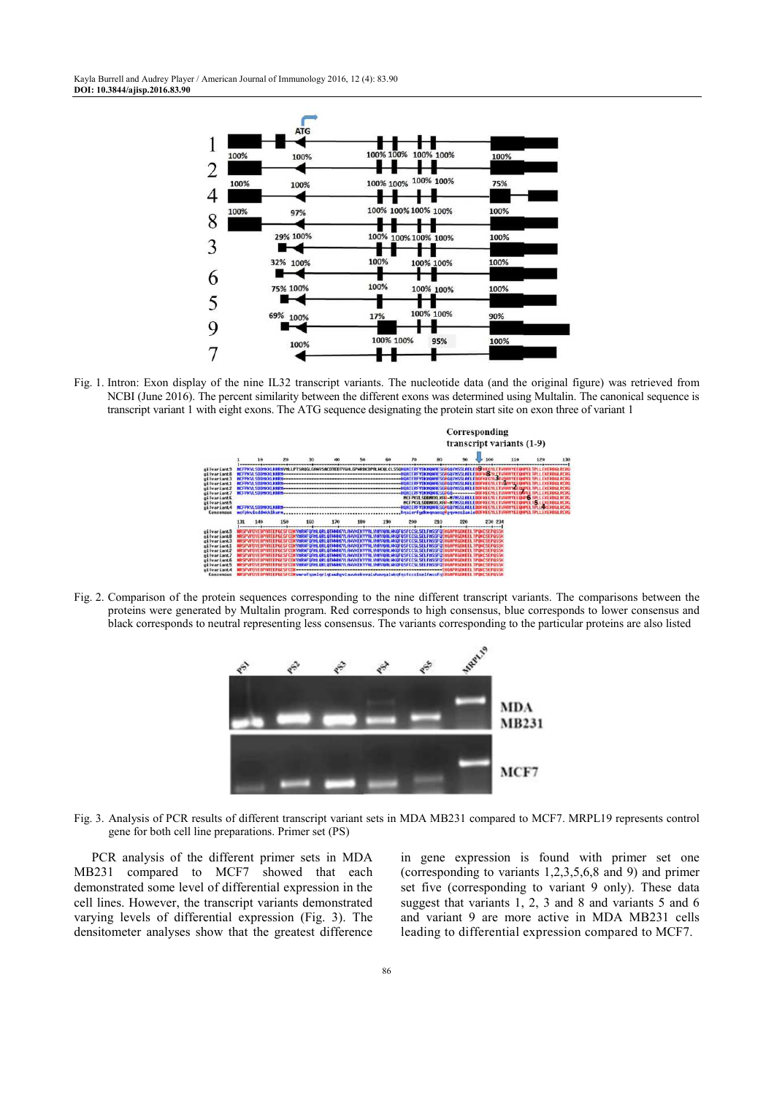

Fig. 1. Intron: Exon display of the nine IL32 transcript variants. The nucleotide data (and the original figure) was retrieved from NCBI (June 2016). The percent similarity between the different exons was determined using Multalin. The canonical sequence is transcript variant 1 with eight exons. The ATG sequence designating the protein start site on exon three of variant 1



Fig. 2. Comparison of the protein sequences corresponding to the nine different transcript variants. The comparisons between the proteins were generated by Multalin program. Red corresponds to high consensus, blue corresponds to lower consensus and black corresponds to neutral representing less consensus. The variants corresponding to the particular proteins are also listed



Fig. 3. Analysis of PCR results of different transcript variant sets in MDA MB231 compared to MCF7. MRPL19 represents control gene for both cell line preparations. Primer set (PS)

PCR analysis of the different primer sets in MDA MB231 compared to MCF7 showed that each demonstrated some level of differential expression in the cell lines. However, the transcript variants demonstrated varying levels of differential expression (Fig. 3). The densitometer analyses show that the greatest difference in gene expression is found with primer set one (corresponding to variants 1,2,3,5,6,8 and 9) and primer set five (corresponding to variant 9 only). These data suggest that variants 1, 2, 3 and 8 and variants 5 and 6 and variant 9 are more active in MDA MB231 cells leading to differential expression compared to MCF7.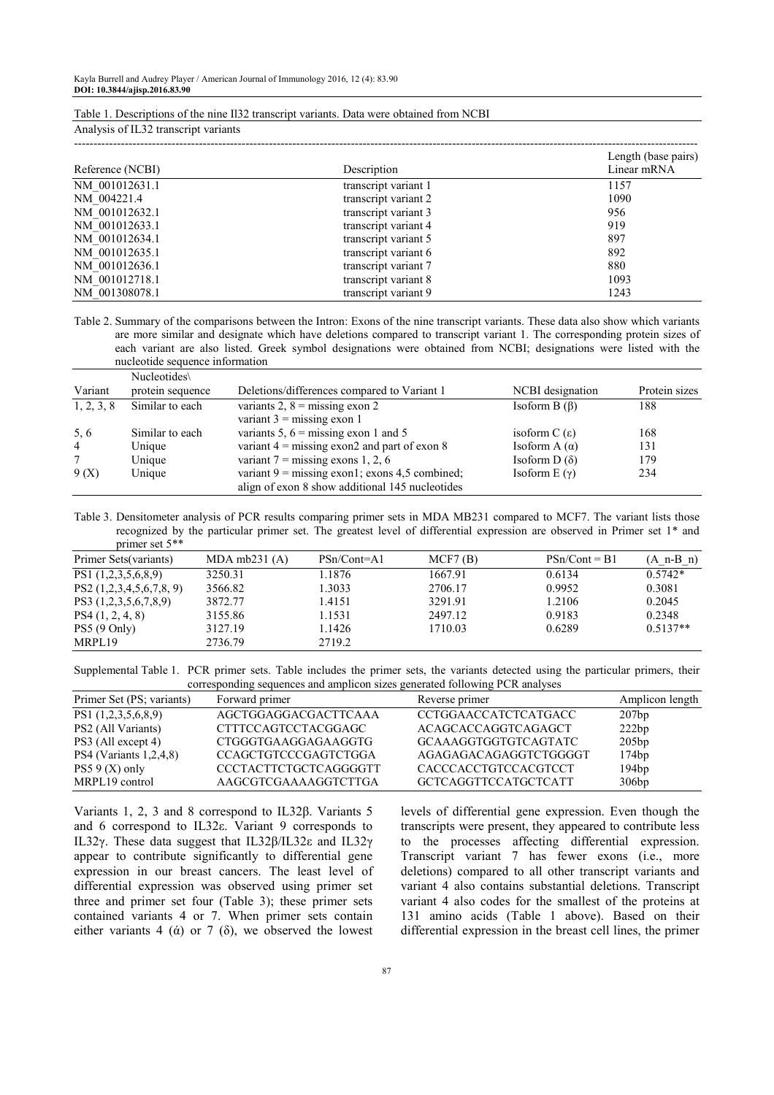#### Table 1. Descriptions of the nine Il32 transcript variants. Data were obtained from NCBI

Analysis of IL32 transcript variants

| Reference (NCBI) | Description          | Length (base pairs)<br>Linear mRNA |
|------------------|----------------------|------------------------------------|
| NM 001012631.1   | transcript variant 1 | 1157                               |
| NM 004221.4      | transcript variant 2 | 1090                               |
| NM 001012632.1   | transcript variant 3 | 956                                |
| NM 001012633.1   | transcript variant 4 | 919                                |
| NM 001012634.1   | transcript variant 5 | 897                                |
| NM 001012635.1   | transcript variant 6 | 892                                |
| NM 001012636.1   | transcript variant 7 | 880                                |
| NM 001012718.1   | transcript variant 8 | 1093                               |
| NM 001308078.1   | transcript variant 9 | 1243                               |

Table 2. Summary of the comparisons between the Intron: Exons of the nine transcript variants. These data also show which variants are more similar and designate which have deletions compared to transcript variant 1. The corresponding protein sizes of each variant are also listed. Greek symbol designations were obtained from NCBI; designations were listed with the nucleotide sequence information

|                | Nucleotides\     |                                                                                                     |                       |               |
|----------------|------------------|-----------------------------------------------------------------------------------------------------|-----------------------|---------------|
| Variant        | protein sequence | Deletions/differences compared to Variant 1                                                         | NCBI designation      | Protein sizes |
| 1, 2, 3, 8     | Similar to each  | variants 2, $8 =$ missing exon 2<br>variant $3 =$ missing exon 1                                    | Isoform B $(β)$       | 188           |
| 5, 6           | Similar to each  | variants 5, $6 =$ missing exon 1 and 5                                                              | isoform $C(\epsilon)$ | 168           |
| $\overline{4}$ | Unique           | variant $4 =$ missing exon2 and part of exon 8                                                      | Isoform A $(α)$       | 131           |
|                | Unique           | variant $7 =$ missing exons 1, 2, 6                                                                 | Isoform D $(\delta)$  | 179           |
| 9(X)           | Unique           | variant $9 =$ missing exon1; exons 4,5 combined;<br>align of exon 8 show additional 145 nucleotides | Isoform Ε $(γ)$       | 234           |

Table 3. Densitometer analysis of PCR results comparing primer sets in MDA MB231 compared to MCF7. The variant lists those recognized by the particular primer set. The greatest level of differential expression are observed in Primer set 1\* and primer set 5\*\*

| Primer Sets (variants)    | MDA mb $231(A)$ | $PSn/Cont= A1$ | MCF7(B) | $PSn/Cont = B1$ | $(A \nightharpoonup B \nightharpoonup)$ |
|---------------------------|-----------------|----------------|---------|-----------------|-----------------------------------------|
| PS1(1,2,3,5,6,8,9)        | 3250.31         | 1.1876         | 1667.91 | 0.6134          | $0.5742*$                               |
| PS2 (1,2,3,4,5,6,7,8, 9)  | 3566.82         | 1.3033         | 2706.17 | 0.9952          | 0.3081                                  |
| $PS3$ $(1,2,3,5,6,7,8,9)$ | 3872.77         | 1.4151         | 3291.91 | 1.2106          | 0.2045                                  |
| PS4(1, 2, 4, 8)           | 3155.86         | 1.1531         | 2497.12 | 0.9183          | 0.2348                                  |
| $PS5(9 \text{ Only})$     | 3127.19         | 1.1426         | 1710.03 | 0.6289          | $0.5137**$                              |
| MRPL19                    | 2736.79         | 2719.2         |         |                 |                                         |

Supplemental Table 1. PCR primer sets. Table includes the primer sets, the variants detected using the particular primers, their corresponding sequences and amplicon sizes generated following PCR analyses

| Primer Set (PS; variants) | Forward primer               | Reverse primer              | Amplicon length |
|---------------------------|------------------------------|-----------------------------|-----------------|
| PS1 (1,2,3,5,6,8,9)       | AGCTGGAGGACGACTTCAAA         | CCTGGAACCATCTCATGACC        | 207bp           |
| PS2 (All Variants)        | CTTTCCAGTCCTACGGAGC          | <b>ACAGCACCAGGTCAGAGCT</b>  | 222bp           |
| PS3 (All except 4)        | CTGGGTGAAGGAGAAGGTG          | <b>GCAAAGGTGGTGTCAGTATC</b> | 205bp           |
| PS4 (Variants $1,2,4,8$ ) | <b>CCAGCTGTCCCGAGTCTGGA</b>  | AGAGAGACAGAGGTCTGGGGT       | 174bp           |
| $PS59(X)$ only            | <b>CCCTACTTCTGCTCAGGGGTT</b> | <b>CACCCACCTGTCCACGTCCT</b> | 194bp           |
| MRPL19 control            | AAGCGTCGAAAAGGTCTTGA         | <b>GCTCAGGTTCCATGCTCATT</b> | 306bp           |

Variants 1, 2, 3 and 8 correspond to IL32β. Variants 5 and 6 correspond to IL32ε. Variant 9 corresponds to IL32γ. These data suggest that IL32β/IL32ε and IL32γ appear to contribute significantly to differential gene expression in our breast cancers. The least level of differential expression was observed using primer set three and primer set four (Table 3); these primer sets contained variants 4 or 7. When primer sets contain either variants 4 ( $\alpha$ ) or 7 ( $\delta$ ), we observed the lowest levels of differential gene expression. Even though the transcripts were present, they appeared to contribute less to the processes affecting differential expression. Transcript variant 7 has fewer exons (i.e., more deletions) compared to all other transcript variants and variant 4 also contains substantial deletions. Transcript variant 4 also codes for the smallest of the proteins at 131 amino acids (Table 1 above). Based on their differential expression in the breast cell lines, the primer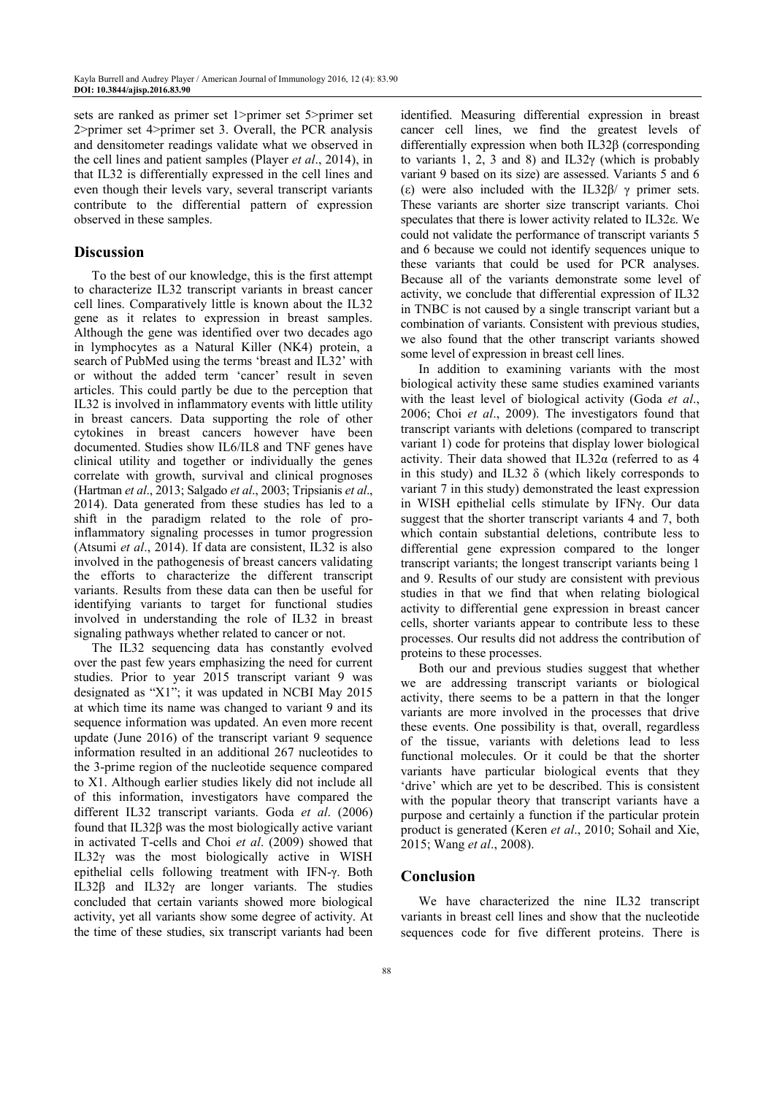sets are ranked as primer set 1>primer set 5>primer set 2>primer set 4>primer set 3. Overall, the PCR analysis and densitometer readings validate what we observed in the cell lines and patient samples (Player *et al*., 2014), in that IL32 is differentially expressed in the cell lines and even though their levels vary, several transcript variants contribute to the differential pattern of expression observed in these samples.

# **Discussion**

To the best of our knowledge, this is the first attempt to characterize IL32 transcript variants in breast cancer cell lines. Comparatively little is known about the IL32 gene as it relates to expression in breast samples. Although the gene was identified over two decades ago in lymphocytes as a Natural Killer (NK4) protein, a search of PubMed using the terms 'breast and IL32' with or without the added term 'cancer' result in seven articles. This could partly be due to the perception that IL32 is involved in inflammatory events with little utility in breast cancers. Data supporting the role of other cytokines in breast cancers however have been documented. Studies show IL6/IL8 and TNF genes have clinical utility and together or individually the genes correlate with growth, survival and clinical prognoses (Hartman *et al*., 2013; Salgado *et al*., 2003; Tripsianis *et al*., 2014). Data generated from these studies has led to a shift in the paradigm related to the role of proinflammatory signaling processes in tumor progression (Atsumi *et al*., 2014). If data are consistent, IL32 is also involved in the pathogenesis of breast cancers validating the efforts to characterize the different transcript variants. Results from these data can then be useful for identifying variants to target for functional studies involved in understanding the role of IL32 in breast signaling pathways whether related to cancer or not.

The IL32 sequencing data has constantly evolved over the past few years emphasizing the need for current studies. Prior to year 2015 transcript variant 9 was designated as "X1"; it was updated in NCBI May 2015 at which time its name was changed to variant 9 and its sequence information was updated. An even more recent update (June 2016) of the transcript variant 9 sequence information resulted in an additional 267 nucleotides to the 3-prime region of the nucleotide sequence compared to X1. Although earlier studies likely did not include all of this information, investigators have compared the different IL32 transcript variants. Goda *et al*. (2006) found that IL32β was the most biologically active variant in activated T-cells and Choi *et al*. (2009) showed that IL32γ was the most biologically active in WISH epithelial cells following treatment with IFN-γ. Both IL32β and IL32γ are longer variants. The studies concluded that certain variants showed more biological activity, yet all variants show some degree of activity. At the time of these studies, six transcript variants had been

identified. Measuring differential expression in breast cancer cell lines, we find the greatest levels of differentially expression when both IL32β (corresponding to variants 1, 2, 3 and 8) and IL32 $\gamma$  (which is probably variant 9 based on its size) are assessed. Variants 5 and 6 (ε) were also included with the IL32β/ γ primer sets. These variants are shorter size transcript variants. Choi speculates that there is lower activity related to IL32ε. We could not validate the performance of transcript variants 5 and 6 because we could not identify sequences unique to these variants that could be used for PCR analyses. Because all of the variants demonstrate some level of activity, we conclude that differential expression of IL32 in TNBC is not caused by a single transcript variant but a combination of variants. Consistent with previous studies, we also found that the other transcript variants showed some level of expression in breast cell lines.

In addition to examining variants with the most biological activity these same studies examined variants with the least level of biological activity (Goda *et al*., 2006; Choi *et al*., 2009). The investigators found that transcript variants with deletions (compared to transcript variant 1) code for proteins that display lower biological activity. Their data showed that IL32 $\alpha$  (referred to as 4 in this study) and IL32  $\delta$  (which likely corresponds to variant 7 in this study) demonstrated the least expression in WISH epithelial cells stimulate by IFNγ. Our data suggest that the shorter transcript variants 4 and 7, both which contain substantial deletions, contribute less to differential gene expression compared to the longer transcript variants; the longest transcript variants being 1 and 9. Results of our study are consistent with previous studies in that we find that when relating biological activity to differential gene expression in breast cancer cells, shorter variants appear to contribute less to these processes. Our results did not address the contribution of proteins to these processes.

Both our and previous studies suggest that whether we are addressing transcript variants or biological activity, there seems to be a pattern in that the longer variants are more involved in the processes that drive these events. One possibility is that, overall, regardless of the tissue, variants with deletions lead to less functional molecules. Or it could be that the shorter variants have particular biological events that they 'drive' which are yet to be described. This is consistent with the popular theory that transcript variants have a purpose and certainly a function if the particular protein product is generated (Keren *et al*., 2010; Sohail and Xie, 2015; Wang *et al*., 2008).

# **Conclusion**

We have characterized the nine IL32 transcript variants in breast cell lines and show that the nucleotide sequences code for five different proteins. There is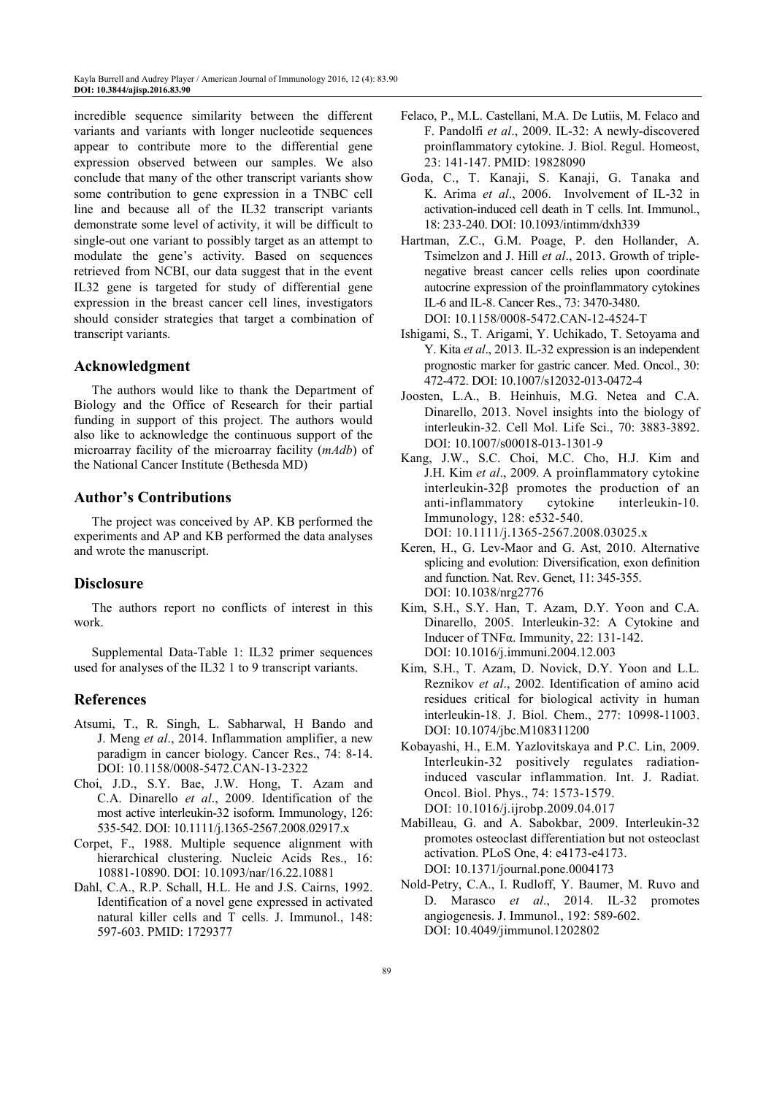incredible sequence similarity between the different variants and variants with longer nucleotide sequences appear to contribute more to the differential gene expression observed between our samples. We also conclude that many of the other transcript variants show some contribution to gene expression in a TNBC cell line and because all of the IL32 transcript variants demonstrate some level of activity, it will be difficult to single-out one variant to possibly target as an attempt to modulate the gene's activity. Based on sequences retrieved from NCBI, our data suggest that in the event IL32 gene is targeted for study of differential gene expression in the breast cancer cell lines, investigators should consider strategies that target a combination of transcript variants.

#### **Acknowledgment**

The authors would like to thank the Department of Biology and the Office of Research for their partial funding in support of this project. The authors would also like to acknowledge the continuous support of the microarray facility of the microarray facility (*mAdb*) of the National Cancer Institute (Bethesda MD)

#### **Author's Contributions**

The project was conceived by AP. KB performed the experiments and AP and KB performed the data analyses and wrote the manuscript.

#### **Disclosure**

The authors report no conflicts of interest in this work.

Supplemental Data-Table 1: IL32 primer sequences used for analyses of the IL32 1 to 9 transcript variants.

#### **References**

- Atsumi, T., R. Singh, L. Sabharwal, H Bando and J. Meng *et al*., 2014. Inflammation amplifier, a new paradigm in cancer biology. Cancer Res., 74: 8-14. DOI: 10.1158/0008-5472.CAN-13-2322
- Choi, J.D., S.Y. Bae, J.W. Hong, T. Azam and C.A. Dinarello *et al*., 2009. Identification of the most active interleukin-32 isoform. Immunology, 126: 535-542. DOI: 10.1111/j.1365-2567.2008.02917.x
- Corpet, F., 1988. Multiple sequence alignment with hierarchical clustering. Nucleic Acids Res., 16: 10881-10890. DOI: 10.1093/nar/16.22.10881
- Dahl, C.A., R.P. Schall, H.L. He and J.S. Cairns, 1992. Identification of a novel gene expressed in activated natural killer cells and T cells. J. Immunol., 148: 597-603. PMID: 1729377
- Felaco, P., M.L. Castellani, M.A. De Lutiis, M. Felaco and F. Pandolfi *et al*., 2009. IL-32: A newly-discovered proinflammatory cytokine. J. Biol. Regul. Homeost, 23: 141-147. PMID: 19828090
- Goda, C., T. Kanaji, S. Kanaji, G. Tanaka and K. Arima *et al*., 2006. Involvement of IL-32 in activation-induced cell death in T cells. Int. Immunol., 18: 233-240. DOI: 10.1093/intimm/dxh339
- Hartman, Z.C., G.M. Poage, P. den Hollander, A. Tsimelzon and J. Hill *et al*., 2013. Growth of triplenegative breast cancer cells relies upon coordinate autocrine expression of the proinflammatory cytokines IL-6 and IL-8. Cancer Res., 73: 3470-3480. DOI: 10.1158/0008-5472.CAN-12-4524-T
- Ishigami, S., T. Arigami, Y. Uchikado, T. Setoyama and Y. Kita *et al*., 2013. IL-32 expression is an independent prognostic marker for gastric cancer. Med. Oncol., 30: 472-472. DOI: 10.1007/s12032-013-0472-4
- Joosten, L.A., B. Heinhuis, M.G. Netea and C.A. Dinarello, 2013. Novel insights into the biology of interleukin-32. Cell Mol. Life Sci., 70: 3883-3892. DOI: 10.1007/s00018-013-1301-9
- Kang, J.W., S.C. Choi, M.C. Cho, H.J. Kim and J.H. Kim *et al*., 2009. A proinflammatory cytokine interleukin-32β promotes the production of an anti-inflammatory cytokine interleukin-10. Immunology, 128: e532-540. DOI: 10.1111/j.1365-2567.2008.03025.x
- Keren, H., G. Lev-Maor and G. Ast, 2010. Alternative splicing and evolution: Diversification, exon definition and function. Nat. Rev. Genet, 11: 345-355. DOI: 10.1038/nrg2776
- Kim, S.H., S.Y. Han, T. Azam, D.Y. Yoon and C.A. Dinarello, 2005. Interleukin-32: A Cytokine and Inducer of TNFα. Immunity, 22: 131-142. DOI: 10.1016/j.immuni.2004.12.003
- Kim, S.H., T. Azam, D. Novick, D.Y. Yoon and L.L. Reznikov *et al*., 2002. Identification of amino acid residues critical for biological activity in human interleukin-18. J. Biol. Chem., 277: 10998-11003. DOI: 10.1074/jbc.M108311200
- Kobayashi, H., E.M. Yazlovitskaya and P.C. Lin, 2009. Interleukin-32 positively regulates radiationinduced vascular inflammation. Int. J. Radiat. Oncol. Biol. Phys., 74: 1573-1579. DOI: 10.1016/j.ijrobp.2009.04.017
- Mabilleau, G. and A. Sabokbar, 2009. Interleukin-32 promotes osteoclast differentiation but not osteoclast activation. PLoS One, 4: e4173-e4173. DOI: 10.1371/journal.pone.0004173
- Nold-Petry, C.A., I. Rudloff, Y. Baumer, M. Ruvo and D. Marasco *et al*., 2014. IL-32 promotes angiogenesis. J. Immunol., 192: 589-602. DOI: 10.4049/jimmunol.1202802